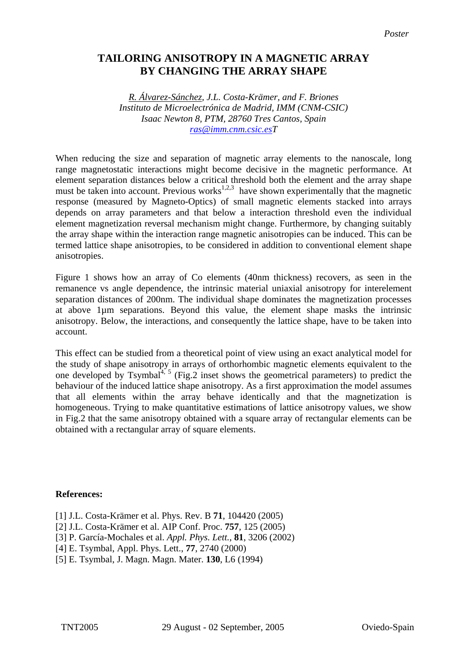## **TAILORING ANISOTROPY IN A MAGNETIC ARRAY BY CHANGING THE ARRAY SHAPE**

*R. Álvarez-Sánchez, J.L. Costa-Krämer, and F. Briones Instituto de Microelectrónica de Madrid, IMM (CNM-CSIC) Isaac Newton 8, PTM, 28760 Tres Cantos, Spain [ras@imm.cnm.csic.esT](mailto:Contact@E-mail)*

When reducing the size and separation of magnetic array elements to the nanoscale, long range magnetostatic interactions might become decisive in the magnetic performance. At element separation distances below a critical threshold both the element and the array shape must be taken into account. Previous works<sup>1,2,3</sup> have shown experimentally that the magnetic response (measured by Magneto-Optics) of small magnetic elements stacked into arrays depends on array parameters and that below a interaction threshold even the individual element magnetization reversal mechanism might change. Furthermore, by changing suitably the array shape within the interaction range magnetic anisotropies can be induced. This can be termed lattice shape anisotropies, to be considered in addition to conventional element shape anisotropies.

Figure 1 shows how an array of Co elements (40nm thickness) recovers, as seen in the remanence vs angle dependence, the intrinsic material uniaxial anisotropy for interelement separation distances of 200nm. The individual shape dominates the magnetization processes at above 1µm separations. Beyond this value, the element shape masks the intrinsic anisotropy. Below, the interactions, and consequently the lattice shape, have to be taken into account.

This effect can be studied from a theoretical point of view using an exact analytical model for the study of shape anisotropy in arrays of orthorhombic magnetic elements equivalent to the one developed by Tsymbal<sup>4, 5</sup> (Fig.2 inset shows the geometrical parameters) to predict the behaviour of the induced lattice shape anisotropy. As a first approximation the model assumes that all elements within the array behave identically and that the magnetization is homogeneous. Trying to make quantitative estimations of lattice anisotropy values, we show in Fig.2 that the same anisotropy obtained with a square array of rectangular elements can be obtained with a rectangular array of square elements.

## **References:**

- [1] J.L. Costa-Krämer et al. Phys. Rev. B **71**, 104420 (2005)
- [2] J.L. Costa-Krämer et al. AIP Conf. Proc. **757**, 125 (2005)
- [3] P. García-Mochales et al. *Appl. Phys. Lett.*, **81**, 3206 (2002)
- [4] E. Tsymbal, Appl. Phys. Lett., **77**, 2740 (2000)
- [5] E. Tsymbal, J. Magn. Magn. Mater. **130**, L6 (1994)